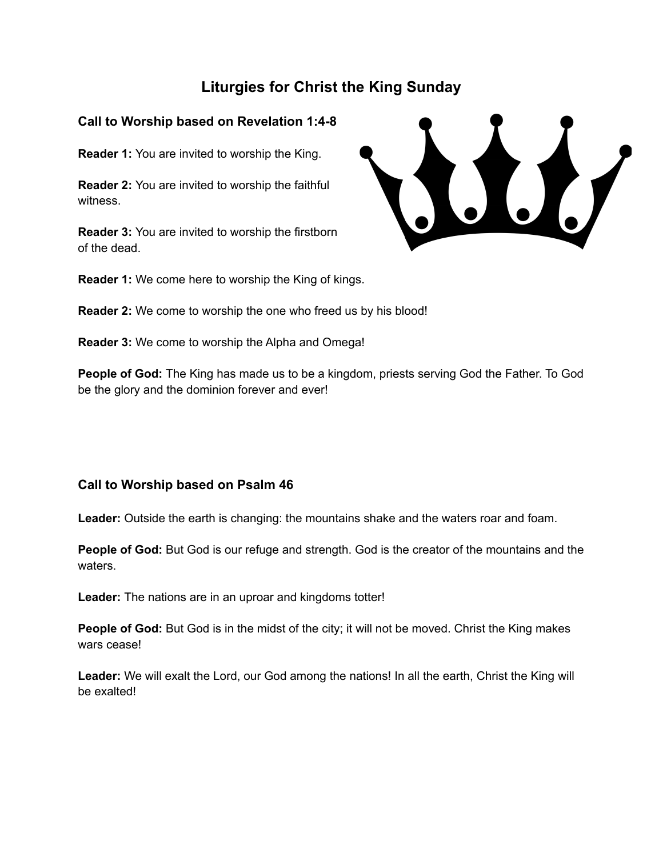# **Liturgies for Christ the King Sunday**

## **Call to Worship based on Revelation 1:4-8**

**Reader 1:** You are invited to worship the King.

**Reader 2:** You are invited to worship the faithful witness.

**Reader 3:** You are invited to worship the firstborn of the dead.

 $\frac{1}{2}$ 

**Reader 1:** We come here to worship the King of kings.

**Reader 2:** We come to worship the one who freed us by his blood!

**Reader 3:** We come to worship the Alpha and Omega!

**People of God:** The King has made us to be a kingdom, priests serving God the Father. To God be the glory and the dominion forever and ever!

## **Call to Worship based on Psalm 46**

**Leader:** Outside the earth is changing: the mountains shake and the waters roar and foam.

**People of God:** But God is our refuge and strength. God is the creator of the mountains and the waters.

**Leader:** The nations are in an uproar and kingdoms totter!

**People of God:** But God is in the midst of the city; it will not be moved. Christ the King makes wars cease!

**Leader:** We will exalt the Lord, our God among the nations! In all the earth, Christ the King will be exalted!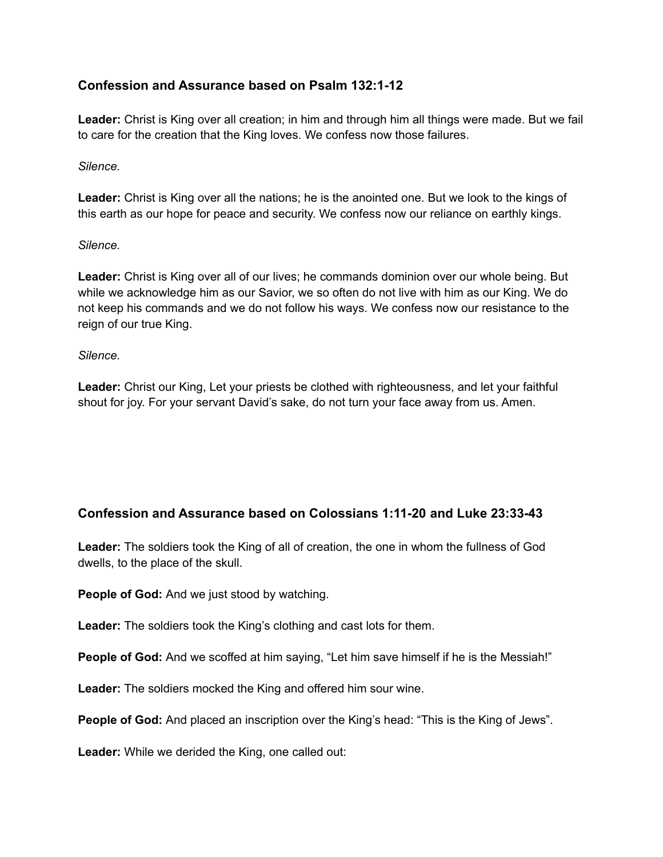## **Confession and Assurance based on Psalm 132:1-12**

**Leader:** Christ is King over all creation; in him and through him all things were made. But we fail to care for the creation that the King loves. We confess now those failures.

#### *Silence.*

**Leader:** Christ is King over all the nations; he is the anointed one. But we look to the kings of this earth as our hope for peace and security. We confess now our reliance on earthly kings.

#### *Silence.*

**Leader:** Christ is King over all of our lives; he commands dominion over our whole being. But while we acknowledge him as our Savior, we so often do not live with him as our King. We do not keep his commands and we do not follow his ways. We confess now our resistance to the reign of our true King.

#### *Silence.*

**Leader:** Christ our King, Let your priests be clothed with righteousness, and let your faithful shout for joy. For your servant David's sake, do not turn your face away from us. Amen.

### **Confession and Assurance based on Colossians 1:11-20 and Luke 23:33-43**

**Leader:** The soldiers took the King of all of creation, the one in whom the fullness of God dwells, to the place of the skull.

**People of God:** And we just stood by watching.

**Leader:** The soldiers took the King's clothing and cast lots for them.

**People of God:** And we scoffed at him saying, "Let him save himself if he is the Messiah!"

**Leader:** The soldiers mocked the King and offered him sour wine.

**People of God:** And placed an inscription over the King's head: "This is the King of Jews".

**Leader:** While we derided the King, one called out: